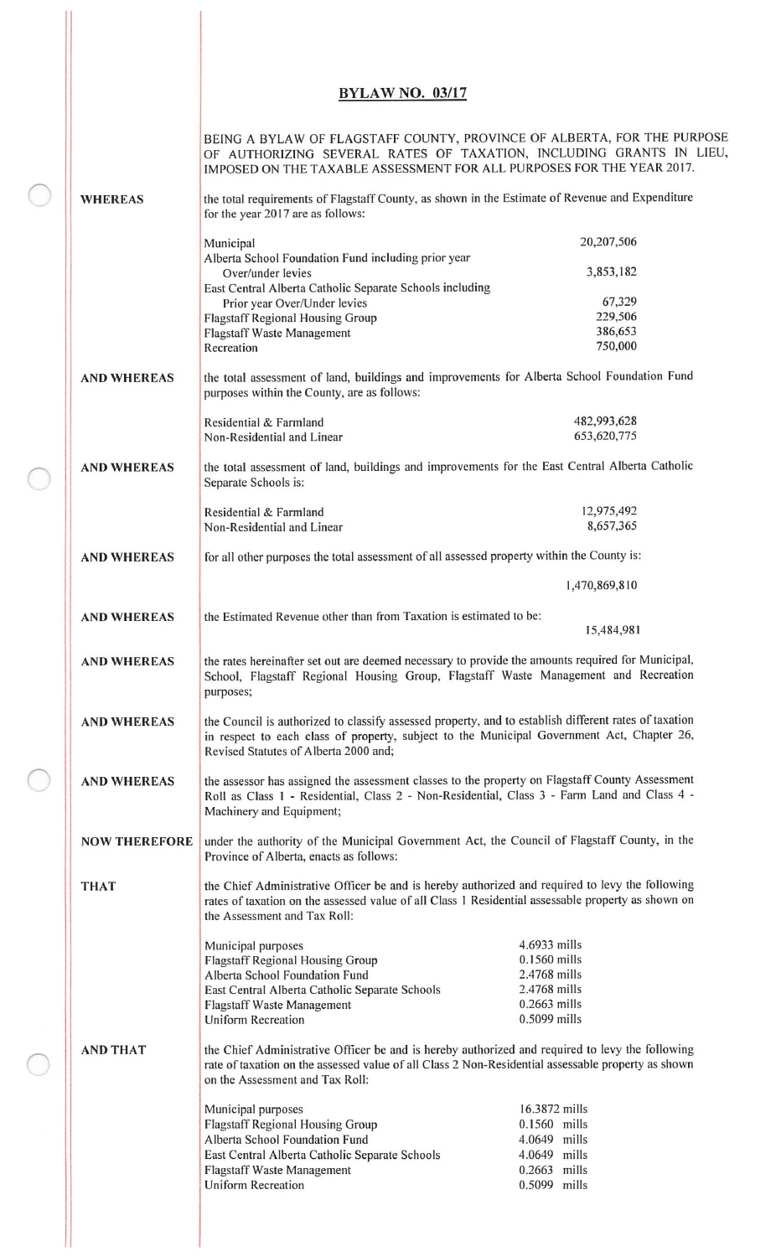## **BYLAW NO. 03/17**

|                      | BEING A BYLAW OF FLAGSTAFF COUNTY, PROVINCE OF ALBERTA, FOR THE PURPOSE<br>OF AUTHORIZING SEVERAL RATES OF TAXATION, INCLUDING GRANTS IN LIEU,<br>IMPOSED ON THE TAXABLE ASSESSMENT FOR ALL PURPOSES FOR THE YEAR 2017.                      |                              |  |
|----------------------|----------------------------------------------------------------------------------------------------------------------------------------------------------------------------------------------------------------------------------------------|------------------------------|--|
| <b>WHEREAS</b>       | the total requirements of Flagstaff County, as shown in the Estimate of Revenue and Expenditure<br>for the year 2017 are as follows:                                                                                                         |                              |  |
|                      | Municipal                                                                                                                                                                                                                                    | 20,207,506                   |  |
|                      | Alberta School Foundation Fund including prior year                                                                                                                                                                                          |                              |  |
|                      | Over/under levies                                                                                                                                                                                                                            | 3,853,182                    |  |
|                      | East Central Alberta Catholic Separate Schools including                                                                                                                                                                                     | 67,329                       |  |
|                      | Prior year Over/Under levies<br><b>Flagstaff Regional Housing Group</b>                                                                                                                                                                      | 229,506                      |  |
|                      | <b>Flagstaff Waste Management</b>                                                                                                                                                                                                            | 386,653                      |  |
|                      | Recreation                                                                                                                                                                                                                                   | 750,000                      |  |
| <b>AND WHEREAS</b>   | the total assessment of land, buildings and improvements for Alberta School Foundation Fund<br>purposes within the County, are as follows:                                                                                                   |                              |  |
|                      | Residential & Farmland                                                                                                                                                                                                                       | 482,993,628                  |  |
|                      | Non-Residential and Linear                                                                                                                                                                                                                   | 653,620,775                  |  |
| <b>AND WHEREAS</b>   | the total assessment of land, buildings and improvements for the East Central Alberta Catholic<br>Separate Schools is:                                                                                                                       |                              |  |
|                      | Residential & Farmland                                                                                                                                                                                                                       | 12,975,492                   |  |
|                      | Non-Residential and Linear                                                                                                                                                                                                                   | 8,657,365                    |  |
| <b>AND WHEREAS</b>   | for all other purposes the total assessment of all assessed property within the County is:                                                                                                                                                   |                              |  |
|                      |                                                                                                                                                                                                                                              | 1,470,869,810                |  |
| <b>AND WHEREAS</b>   | the Estimated Revenue other than from Taxation is estimated to be:                                                                                                                                                                           | 15,484,981                   |  |
| <b>AND WHEREAS</b>   | the rates hereinafter set out are deemed necessary to provide the amounts required for Municipal,<br>School, Flagstaff Regional Housing Group, Flagstaff Waste Management and Recreation<br>purposes;                                        |                              |  |
| <b>AND WHEREAS</b>   | the Council is authorized to classify assessed property, and to establish different rates of taxation<br>in respect to each class of property, subject to the Municipal Government Act, Chapter 26,<br>Revised Statutes of Alberta 2000 and; |                              |  |
| <b>AND WHEREAS</b>   | the assessor has assigned the assessment classes to the property on Flagstaff County Assessment<br>Roll as Class 1 - Residential, Class 2 - Non-Residential, Class 3 - Farm Land and Class 4 -<br>Machinery and Equipment;                   |                              |  |
| <b>NOW THEREFORE</b> | under the authority of the Municipal Government Act, the Council of Flagstaff County, in the<br>Province of Alberta, enacts as follows:                                                                                                      |                              |  |
| <b>THAT</b>          | the Chief Administrative Officer be and is hereby authorized and required to levy the following<br>rates of taxation on the assessed value of all Class 1 Residential assessable property as shown on<br>the Assessment and Tax Roll:        |                              |  |
|                      | Municipal purposes                                                                                                                                                                                                                           | 4.6933 mills                 |  |
|                      | <b>Flagstaff Regional Housing Group</b>                                                                                                                                                                                                      | 0.1560 mills                 |  |
|                      | Alberta School Foundation Fund                                                                                                                                                                                                               | 2.4768 mills<br>2.4768 mills |  |
|                      | East Central Alberta Catholic Separate Schools<br><b>Flagstaff Waste Management</b>                                                                                                                                                          | $0.2663$ mills               |  |
|                      | <b>Uniform Recreation</b>                                                                                                                                                                                                                    | 0.5099 mills                 |  |
| <b>AND THAT</b>      | the Chief Administrative Officer be and is hereby authorized and required to levy the following<br>rate of taxation on the assessed value of all Class 2 Non-Residential assessable property as shown<br>on the Assessment and Tax Roll:     |                              |  |
|                      | Municipal purposes                                                                                                                                                                                                                           | 16.3872 mills                |  |
|                      | <b>Flagstaff Regional Housing Group</b>                                                                                                                                                                                                      | 0.1560 mills                 |  |
|                      | Alberta School Foundation Fund                                                                                                                                                                                                               | 4.0649 mills<br>4.0649 mills |  |
|                      | East Central Alberta Catholic Separate Schools<br><b>Flagstaff Waste Management</b>                                                                                                                                                          | 0.2663 mills                 |  |
|                      | Uniform Recreation                                                                                                                                                                                                                           | 0.5099 mills                 |  |
|                      |                                                                                                                                                                                                                                              |                              |  |

C